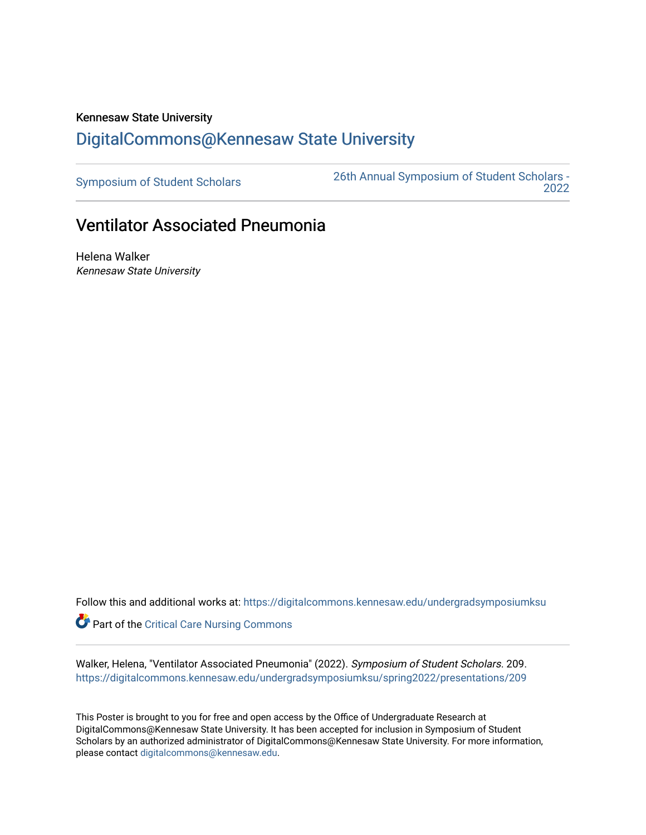## Kennesaw State University [DigitalCommons@Kennesaw State University](https://digitalcommons.kennesaw.edu/)

[Symposium of Student Scholars](https://digitalcommons.kennesaw.edu/undergradsymposiumksu) [26th Annual Symposium of Student Scholars -](https://digitalcommons.kennesaw.edu/undergradsymposiumksu/spring2022)  [2022](https://digitalcommons.kennesaw.edu/undergradsymposiumksu/spring2022) 

## Ventilator Associated Pneumonia

Helena Walker Kennesaw State University

Follow this and additional works at: [https://digitalcommons.kennesaw.edu/undergradsymposiumksu](https://digitalcommons.kennesaw.edu/undergradsymposiumksu?utm_source=digitalcommons.kennesaw.edu%2Fundergradsymposiumksu%2Fspring2022%2Fpresentations%2F209&utm_medium=PDF&utm_campaign=PDFCoverPages) 

Part of the [Critical Care Nursing Commons](http://network.bepress.com/hgg/discipline/727?utm_source=digitalcommons.kennesaw.edu%2Fundergradsymposiumksu%2Fspring2022%2Fpresentations%2F209&utm_medium=PDF&utm_campaign=PDFCoverPages)

Walker, Helena, "Ventilator Associated Pneumonia" (2022). Symposium of Student Scholars. 209. [https://digitalcommons.kennesaw.edu/undergradsymposiumksu/spring2022/presentations/209](https://digitalcommons.kennesaw.edu/undergradsymposiumksu/spring2022/presentations/209?utm_source=digitalcommons.kennesaw.edu%2Fundergradsymposiumksu%2Fspring2022%2Fpresentations%2F209&utm_medium=PDF&utm_campaign=PDFCoverPages)

This Poster is brought to you for free and open access by the Office of Undergraduate Research at DigitalCommons@Kennesaw State University. It has been accepted for inclusion in Symposium of Student Scholars by an authorized administrator of DigitalCommons@Kennesaw State University. For more information, please contact [digitalcommons@kennesaw.edu.](mailto:digitalcommons@kennesaw.edu)